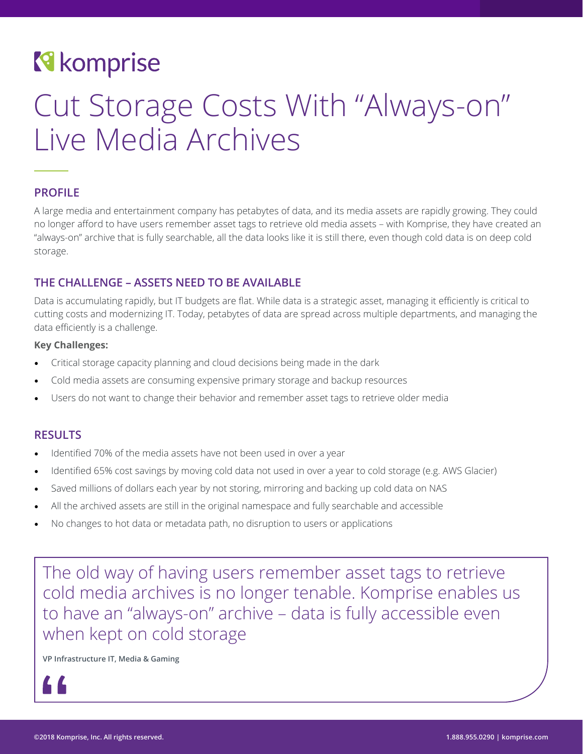# **K**e komprise

# Cut Storage Costs With "Always-on" Live Media Archives

# **PROFILE**

A large media and entertainment company has petabytes of data, and its media assets are rapidly growing. They could no longer afford to have users remember asset tags to retrieve old media assets – with Komprise, they have created an "always-on" archive that is fully searchable, all the data looks like it is still there, even though cold data is on deep cold storage.

### **THE CHALLENGE – ASSETS NEED TO BE AVAILABLE**

Data is accumulating rapidly, but IT budgets are flat. While data is a strategic asset, managing it efficiently is critical to cutting costs and modernizing IT. Today, petabytes of data are spread across multiple departments, and managing the data efficiently is a challenge.

#### **Key Challenges:**

- Critical storage capacity planning and cloud decisions being made in the dark
- Cold media assets are consuming expensive primary storage and backup resources
- Users do not want to change their behavior and remember asset tags to retrieve older media

#### **RESULTS**

- Identified 70% of the media assets have not been used in over a year
- Identified 65% cost savings by moving cold data not used in over a year to cold storage (e.g. AWS Glacier)
- Saved millions of dollars each year by not storing, mirroring and backing up cold data on NAS
- All the archived assets are still in the original namespace and fully searchable and accessible
- No changes to hot data or metadata path, no disruption to users or applications

The old way of having users remember asset tags to retrieve cold media archives is no longer tenable. Komprise enables us to have an "always-on" archive – data is fully accessible even when kept on cold storage

**VP Infrastructure IT, Media & Gaming**